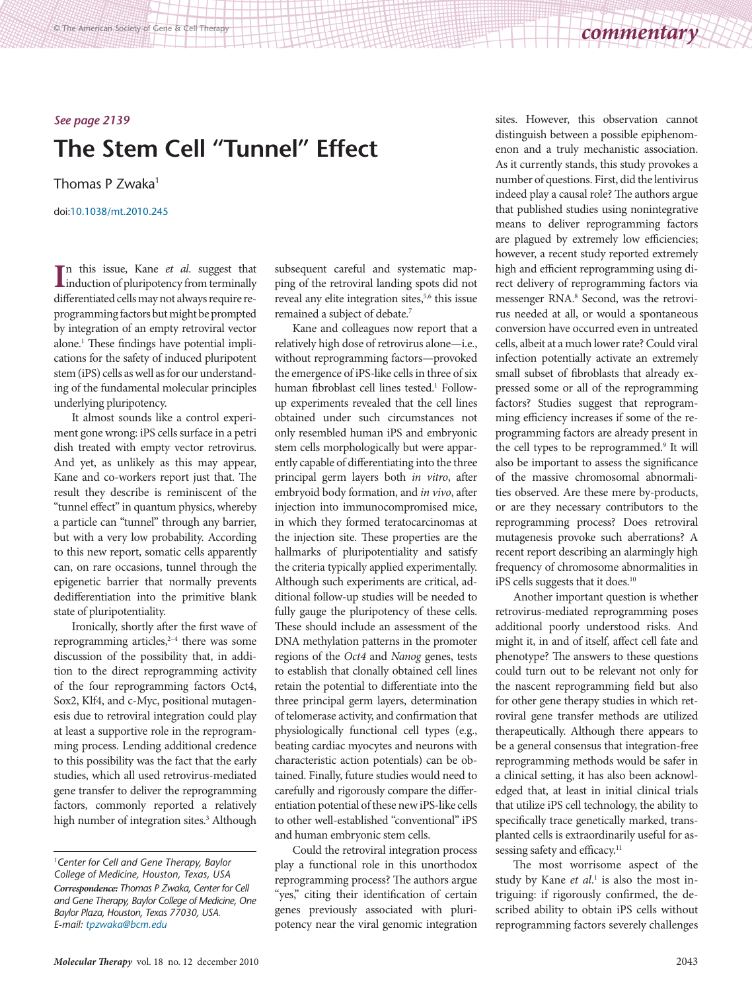## *See page 2139*

## **The Stem Cell "Tunnel" Effect**

Thomas P Zwaka<sup>1</sup>

[doi:10.1038/mt.2010.245](http://www.nature.com/doifinder/10.1038/mt.2010.245)

In this issue, Kane *et al.* suggest that<br>induction of pluripotency from terminally induction of pluripotency from terminally differentiated cells may not always require reprogramming factors but might be prompted by integration of an empty retroviral vector alone.<sup>1</sup> These findings have potential implications for the safety of induced pluripotent stem (iPS) cells as well as for our understanding of the fundamental molecular principles underlying pluripotency.

It almost sounds like a control experiment gone wrong: iPS cells surface in a petri dish treated with empty vector retrovirus. And yet, as unlikely as this may appear, Kane and co-workers report just that. The result they describe is reminiscent of the "tunnel effect" in quantum physics, whereby a particle can "tunnel" through any barrier, but with a very low probability. According to this new report, somatic cells apparently can, on rare occasions, tunnel through the epigenetic barrier that normally prevents dedifferentiation into the primitive blank state of pluripotentiality.

Ironically, shortly after the first wave of reprogramming articles,<sup>2-4</sup> there was some discussion of the possibility that, in addition to the direct reprogramming activity of the four reprogramming factors Oct4, Sox2, Klf4, and c-Myc, positional mutagenesis due to retroviral integration could play at least a supportive role in the reprogramming process. Lending additional credence to this possibility was the fact that the early studies, which all used retrovirus-mediated gene transfer to deliver the reprogramming factors, commonly reported a relatively high number of integration sites.<sup>3</sup> Although subsequent careful and systematic mapping of the retroviral landing spots did not reveal any elite integration sites,<sup>5,6</sup> this issue remained a subject of debate.7

Kane and colleagues now report that a relatively high dose of retrovirus alone—i.e., without reprogramming factors—provoked the emergence of iPS-like cells in three of six human fibroblast cell lines tested.1 Followup experiments revealed that the cell lines obtained under such circumstances not only resembled human iPS and embryonic stem cells morphologically but were apparently capable of differentiating into the three principal germ layers both *in vitro*, after embryoid body formation, and *in vivo*, after injection into immunocompromised mice, in which they formed teratocarcinomas at the injection site. These properties are the hallmarks of pluripotentiality and satisfy the criteria typically applied experimentally. Although such experiments are critical, additional follow-up studies will be needed to fully gauge the pluripotency of these cells. These should include an assessment of the DNA methylation patterns in the promoter regions of the *Oct4* and *Nanog* genes, tests to establish that clonally obtained cell lines retain the potential to differentiate into the three principal germ layers, determination of telomerase activity, and confirmation that physiologically functional cell types (e.g., beating cardiac myocytes and neurons with characteristic action potentials) can be obtained. Finally, future studies would need to carefully and rigorously compare the differentiation potential of these new iPS-like cells to other well-established "conventional" iPS and human embryonic stem cells.

Could the retroviral integration process play a functional role in this unorthodox reprogramming process? The authors argue "yes," citing their identification of certain genes previously associated with pluripotency near the viral genomic integration

sites. However, this observation cannot distinguish between a possible epiphenomenon and a truly mechanistic association. As it currently stands, this study provokes a number of questions. First, did the lentivirus indeed play a causal role? The authors argue that published studies using nonintegrative means to deliver reprogramming factors are plagued by extremely low efficiencies; however, a recent study reported extremely high and efficient reprogramming using direct delivery of reprogramming factors via messenger RNA.<sup>8</sup> Second, was the retrovirus needed at all, or would a spontaneous conversion have occurred even in untreated cells, albeit at a much lower rate? Could viral infection potentially activate an extremely small subset of fibroblasts that already expressed some or all of the reprogramming factors? Studies suggest that reprogramming efficiency increases if some of the reprogramming factors are already present in the cell types to be reprogrammed.<sup>9</sup> It will also be important to assess the significance of the massive chromosomal abnormalities observed. Are these mere by-products, or are they necessary contributors to the reprogramming process? Does retroviral mutagenesis provoke such aberrations? A recent report describing an alarmingly high frequency of chromosome abnormalities in iPS cells suggests that it does.<sup>10</sup>

Another important question is whether retrovirus-mediated reprogramming poses additional poorly understood risks. And might it, in and of itself, affect cell fate and phenotype? The answers to these questions could turn out to be relevant not only for the nascent reprogramming field but also for other gene therapy studies in which retroviral gene transfer methods are utilized therapeutically. Although there appears to be a general consensus that integration-free reprogramming methods would be safer in a clinical setting, it has also been acknowledged that, at least in initial clinical trials that utilize iPS cell technology, the ability to specifically trace genetically marked, transplanted cells is extraordinarily useful for assessing safety and efficacy.<sup>11</sup>

The most worrisome aspect of the study by Kane *et al*. 1 is also the most intriguing: if rigorously confirmed, the described ability to obtain iPS cells without reprogramming factors severely challenges

*<sup>1</sup>Center for Cell and Gene Therapy, Baylor College of Medicine, Houston, Texas, USA Correspondence: Thomas P Zwaka, Center for Cell and Gene Therapy, Baylor College of Medicine, One Baylor Plaza, Houston, Texas 77030, USA. E-mail: [tpzwaka@bcm.edu](mailto:tpzwaka@bcm.edu)*